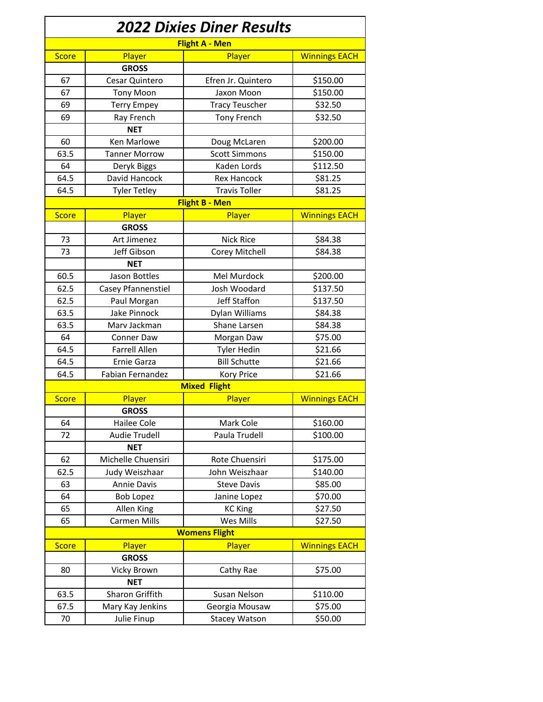| <b>2022 Dixies Diner Results</b><br><b>Flight A - Men</b> |                      |                       |                      |  |  |
|-----------------------------------------------------------|----------------------|-----------------------|----------------------|--|--|
|                                                           |                      |                       |                      |  |  |
|                                                           | <b>GROSS</b>         |                       |                      |  |  |
| 67                                                        | Cesar Quintero       | Efren Jr. Quintero    | \$150.00             |  |  |
| 67                                                        | <b>Tony Moon</b>     | Jaxon Moon            | \$150.00             |  |  |
| 69                                                        | <b>Terry Empey</b>   | <b>Tracy Teuscher</b> | \$32.50              |  |  |
| 69                                                        | Ray French           | <b>Tony French</b>    | \$32.50              |  |  |
|                                                           | <b>NET</b>           |                       |                      |  |  |
| 60                                                        | Ken Marlowe          | Doug McLaren          | \$200.00             |  |  |
| 63.5                                                      | <b>Tanner Morrow</b> | <b>Scott Simmons</b>  | \$150.00             |  |  |
| 64                                                        | Deryk Biggs          | Kaden Lords           | \$112.50             |  |  |
| 64.5                                                      | David Hancock        | <b>Rex Hancock</b>    | \$81.25              |  |  |
| 64.5                                                      | <b>Tyler Tetley</b>  | <b>Travis Toller</b>  | \$81.25              |  |  |
| <b>Flight B - Men</b>                                     |                      |                       |                      |  |  |
| <b>Score</b>                                              | Player               | Player                | <b>Winnings EACH</b> |  |  |
|                                                           | <b>GROSS</b>         |                       |                      |  |  |
| 73                                                        | Art Jimenez          | <b>Nick Rice</b>      | \$84.38              |  |  |
| 73                                                        | Jeff Gibson          | Corey Mitchell        | \$84.38              |  |  |
|                                                           | <b>NET</b>           |                       |                      |  |  |
| 60.5                                                      | Jason Bottles        | Mel Murdock           | \$200.00             |  |  |
| 62.5                                                      | Casey Pfannenstiel   | Josh Woodard          | \$137.50             |  |  |
| 62.5                                                      | Paul Morgan          | Jeff Staffon          | \$137.50             |  |  |
| 63.5                                                      | Jake Pinnock         | Dylan Williams        | \$84.38              |  |  |
| 63.5                                                      | Marv Jackman         | Shane Larsen          | \$84.38              |  |  |
| 64                                                        | <b>Conner Daw</b>    | Morgan Daw            | \$75.00              |  |  |
| 64.5                                                      | <b>Farrell Allen</b> | <b>Tyler Hedin</b>    | \$21.66              |  |  |
| 64.5                                                      | Ernie Garza          | <b>Bill Schutte</b>   | \$21.66              |  |  |
| 64.5                                                      | Fabian Fernandez     | <b>Kory Price</b>     | \$21.66              |  |  |
|                                                           |                      | <b>Mixed Flight</b>   |                      |  |  |
| <b>Score</b>                                              | Player               | Player                | <b>Winnings EACH</b> |  |  |
|                                                           | <b>GROSS</b>         |                       |                      |  |  |
| 64                                                        | Hailee Cole          | Mark Cole             | \$160.00             |  |  |
| 72                                                        | <b>Audie Trudell</b> | Paula Trudell         | \$100.00             |  |  |
|                                                           | <b>NET</b>           |                       |                      |  |  |
| 62                                                        | Michelle Chuensiri   | Rote Chuensiri        | \$175.00             |  |  |
| 62.5                                                      | Judy Weiszhaar       | John Weiszhaar        | \$140.00             |  |  |
| 63                                                        | <b>Annie Davis</b>   | <b>Steve Davis</b>    | \$85.00              |  |  |
| 64                                                        | <b>Bob Lopez</b>     | Janine Lopez          | \$70.00              |  |  |
| 65                                                        | Allen King           | <b>KC King</b>        | \$27.50              |  |  |
| 65                                                        | <b>Carmen Mills</b>  | Wes Mills             | \$27.50              |  |  |
|                                                           |                      | <b>Womens Flight</b>  |                      |  |  |
| <b>Score</b>                                              | Player               | Player                | <b>Winnings EACH</b> |  |  |
|                                                           | <b>GROSS</b>         |                       |                      |  |  |
| 80                                                        | Vicky Brown          | Cathy Rae             | \$75.00              |  |  |
|                                                           | <b>NET</b>           |                       |                      |  |  |
| 63.5                                                      | Sharon Griffith      | Susan Nelson          | \$110.00             |  |  |
| 67.5                                                      | Mary Kay Jenkins     | Georgia Mousaw        | \$75.00              |  |  |
| 70                                                        | Julie Finup          | <b>Stacey Watson</b>  | \$50.00              |  |  |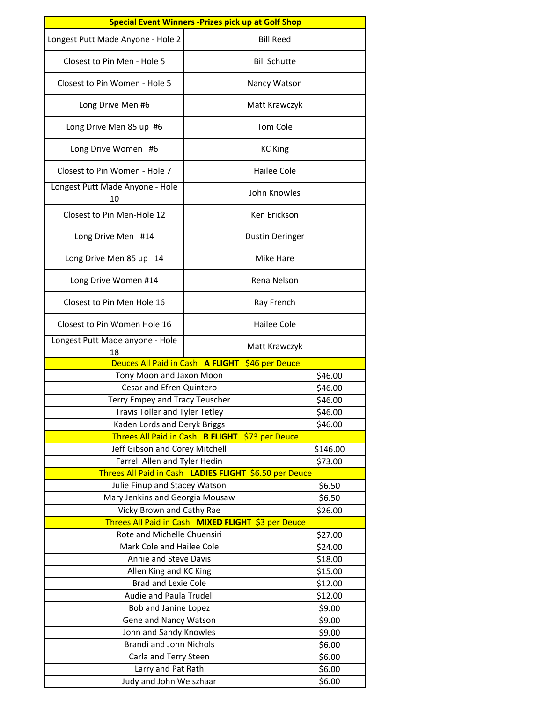| <b>Special Event Winners - Prizes pick up at Golf Shop</b> |                                                        |        |  |  |
|------------------------------------------------------------|--------------------------------------------------------|--------|--|--|
| Longest Putt Made Anyone - Hole 2                          | <b>Bill Reed</b>                                       |        |  |  |
| Closest to Pin Men - Hole 5                                | <b>Bill Schutte</b>                                    |        |  |  |
| Closest to Pin Women - Hole 5<br>Nancy Watson              |                                                        |        |  |  |
| Long Drive Men #6<br>Matt Krawczyk                         |                                                        |        |  |  |
| <b>Tom Cole</b><br>Long Drive Men 85 up #6                 |                                                        |        |  |  |
| Long Drive Women #6<br><b>KC King</b>                      |                                                        |        |  |  |
| Closest to Pin Women - Hole 7<br>Hailee Cole               |                                                        |        |  |  |
| Longest Putt Made Anyone - Hole<br>10                      | John Knowles                                           |        |  |  |
| Closest to Pin Men-Hole 12<br>Ken Frickson                 |                                                        |        |  |  |
| Long Drive Men #14                                         | <b>Dustin Deringer</b>                                 |        |  |  |
| Long Drive Men 85 up 14                                    | Mike Hare                                              |        |  |  |
| Long Drive Women #14                                       | Rena Nelson                                            |        |  |  |
| Closest to Pin Men Hole 16                                 | Ray French                                             |        |  |  |
| Closest to Pin Women Hole 16                               | <b>Hailee Cole</b>                                     |        |  |  |
| Longest Putt Made anyone - Hole<br>18                      | Matt Krawczyk                                          |        |  |  |
| Deuces All Paid in Cash A FLIGHT                           | \$46 per Deuce                                         |        |  |  |
| Tony Moon and Jaxon Moon                                   | \$46.00                                                |        |  |  |
| Cesar and Efren Quintero                                   | \$46.00                                                |        |  |  |
| Terry Empey and Tracy Teuscher                             | \$46.00                                                |        |  |  |
| Travis Toller and Tyler Tetley                             | \$46.00                                                |        |  |  |
| Kaden Lords and Deryk Briggs                               | \$46.00                                                |        |  |  |
|                                                            | Threes All Paid in Cash B FLIGHT \$73 per Deuce        |        |  |  |
| Jeff Gibson and Corey Mitchell                             | \$146.00                                               |        |  |  |
| Farrell Allen and Tyler Hedin<br>\$73.00                   |                                                        |        |  |  |
|                                                            | Threes All Paid in Cash LADIES FLIGHT \$6.50 per Deuce |        |  |  |
| Julie Finup and Stacey Watson                              |                                                        | \$6.50 |  |  |
| Mary Jenkins and Georgia Mousaw                            | \$6.50                                                 |        |  |  |
| Vicky Brown and Cathy Rae                                  | \$26.00                                                |        |  |  |
| Threes All Paid in Cash MIXED FLIGHT \$3 per Deuce         |                                                        |        |  |  |
| Rote and Michelle Chuensiri<br>\$27.00                     |                                                        |        |  |  |
| Mark Cole and Hailee Cole                                  | \$24.00                                                |        |  |  |
| Annie and Steve Davis                                      | \$18.00                                                |        |  |  |
| Allen King and KC King                                     | \$15.00                                                |        |  |  |
| Brad and Lexie Cole                                        | \$12.00                                                |        |  |  |
| Audie and Paula Trudell                                    | \$12.00                                                |        |  |  |
| Bob and Janine Lopez                                       | \$9.00                                                 |        |  |  |
| Gene and Nancy Watson                                      | \$9.00                                                 |        |  |  |
| John and Sandy Knowles                                     | \$9.00                                                 |        |  |  |
| Brandi and John Nichols                                    | \$6.00                                                 |        |  |  |
| Carla and Terry Steen                                      | \$6.00                                                 |        |  |  |
| Larry and Pat Rath                                         | \$6.00                                                 |        |  |  |
| Judy and John Weiszhaar                                    | \$6.00                                                 |        |  |  |